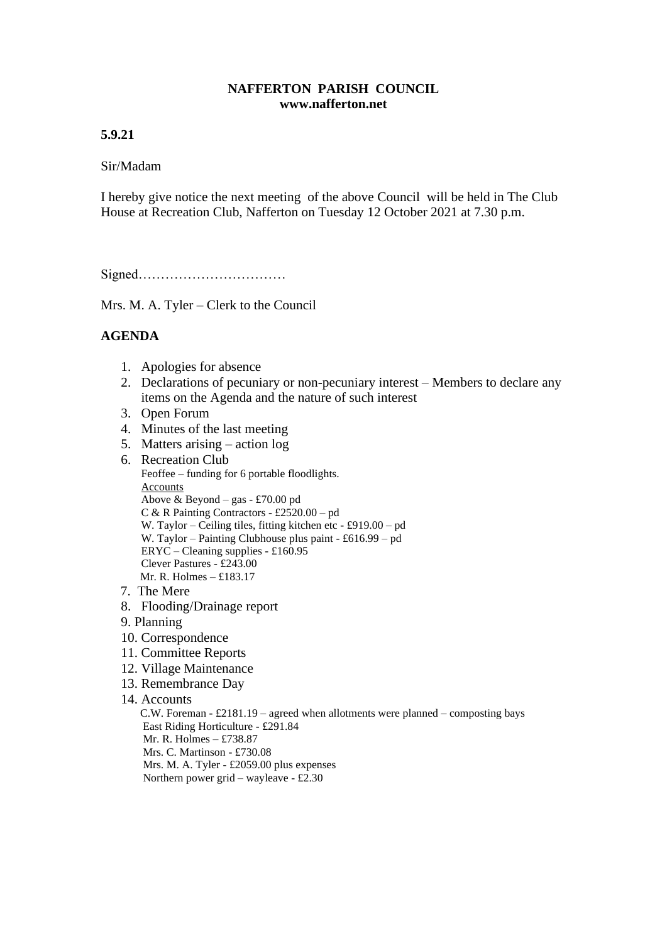## **NAFFERTON PARISH COUNCIL www.nafferton.net**

# **5.9.21**

## Sir/Madam

I hereby give notice the next meeting of the above Council will be held in The Club House at Recreation Club, Nafferton on Tuesday 12 October 2021 at 7.30 p.m.

Signed……………………………

Mrs. M. A. Tyler – Clerk to the Council

# **AGENDA**

- 1. Apologies for absence
- 2. Declarations of pecuniary or non-pecuniary interest Members to declare any items on the Agenda and the nature of such interest
- 3. Open Forum
- 4. Minutes of the last meeting
- 5. Matters arising action log
- 6. Recreation Club Feoffee – funding for 6 portable floodlights. Accounts Above & Beyond – gas - £70.00 pd C & R Painting Contractors - £2520.00 – pd W. Taylor – Ceiling tiles, fitting kitchen etc - £919.00 – pd W. Taylor – Painting Clubhouse plus paint - £616.99 – pd ERYC – Cleaning supplies - £160.95 Clever Pastures - £243.00 Mr. R. Holmes –  $f183.17$
- 7. The Mere
- 8. Flooding/Drainage report
- 9. Planning
- 10. Correspondence
- 11. Committee Reports
- 12. Village Maintenance
- 13. Remembrance Day
- 14. Accounts

 C.W. Foreman - £2181.19 – agreed when allotments were planned – composting bays East Riding Horticulture - £291.84 Mr. R. Holmes – £738.87 Mrs. C. Martinson - £730.08 Mrs. M. A. Tyler - £2059.00 plus expenses Northern power grid – wayleave - £2.30